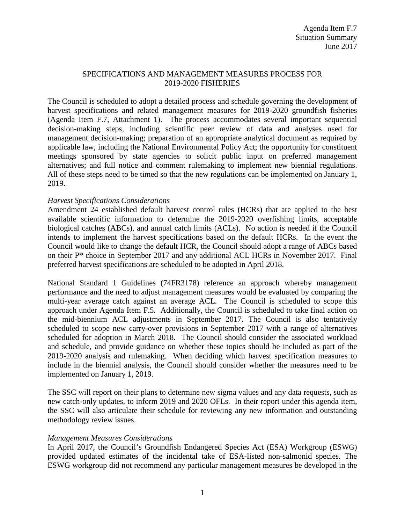## SPECIFICATIONS AND MANAGEMENT MEASURES PROCESS FOR 2019-2020 FISHERIES

The Council is scheduled to adopt a detailed process and schedule governing the development of harvest specifications and related management measures for 2019-2020 groundfish fisheries (Agenda Item F.7, Attachment 1). The process accommodates several important sequential decision-making steps, including scientific peer review of data and analyses used for management decision-making; preparation of an appropriate analytical document as required by applicable law, including the National Environmental Policy Act; the opportunity for constituent meetings sponsored by state agencies to solicit public input on preferred management alternatives; and full notice and comment rulemaking to implement new biennial regulations. All of these steps need to be timed so that the new regulations can be implemented on January 1, 2019.

## *Harvest Specifications Considerations*

Amendment 24 established default harvest control rules (HCRs) that are applied to the best available scientific information to determine the 2019-2020 overfishing limits, acceptable biological catches (ABCs), and annual catch limits (ACLs). No action is needed if the Council intends to implement the harvest specifications based on the default HCRs. In the event the Council would like to change the default HCR, the Council should adopt a range of ABCs based on their P\* choice in September 2017 and any additional ACL HCRs in November 2017. Final preferred harvest specifications are scheduled to be adopted in April 2018.

National Standard 1 Guidelines (74FR3178) reference an approach whereby management performance and the need to adjust management measures would be evaluated by comparing the multi-year average catch against an average ACL. The Council is scheduled to scope this approach under Agenda Item F.5. Additionally, the Council is scheduled to take final action on the mid-biennium ACL adjustments in September 2017. The Council is also tentatively scheduled to scope new carry-over provisions in September 2017 with a range of alternatives scheduled for adoption in March 2018. The Council should consider the associated workload and schedule, and provide guidance on whether these topics should be included as part of the 2019-2020 analysis and rulemaking. When deciding which harvest specification measures to include in the biennial analysis, the Council should consider whether the measures need to be implemented on January 1, 2019.

The SSC will report on their plans to determine new sigma values and any data requests, such as new catch-only updates, to inform 2019 and 2020 OFLs. In their report under this agenda item, the SSC will also articulate their schedule for reviewing any new information and outstanding methodology review issues.

#### *Management Measures Considerations*

In April 2017, the Council's Groundfish Endangered Species Act (ESA) Workgroup (ESWG) provided updated estimates of the incidental take of ESA-listed non-salmonid species. The ESWG workgroup did not recommend any particular management measures be developed in the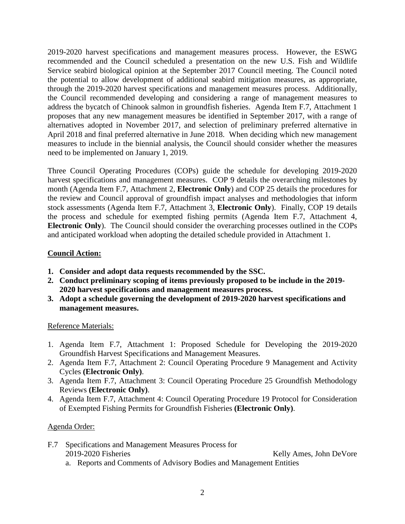2019-2020 harvest specifications and management measures process. However, the ESWG recommended and the Council scheduled a presentation on the new U.S. Fish and Wildlife Service seabird biological opinion at the September 2017 Council meeting. The Council noted the potential to allow development of additional seabird mitigation measures, as appropriate, through the 2019-2020 harvest specifications and management measures process. Additionally, the Council recommended developing and considering a range of management measures to address the bycatch of Chinook salmon in groundfish fisheries. Agenda Item F.7, Attachment 1 proposes that any new management measures be identified in September 2017, with a range of alternatives adopted in November 2017, and selection of preliminary preferred alternative in April 2018 and final preferred alternative in June 2018. When deciding which new management measures to include in the biennial analysis, the Council should consider whether the measures need to be implemented on January 1, 2019.

Three Council Operating Procedures (COPs) guide the schedule for developing 2019-2020 harvest specifications and management measures. COP 9 details the overarching milestones by month (Agenda Item F.7, Attachment 2, **Electronic Only**) and COP 25 details the procedures for the review and Council approval of groundfish impact analyses and methodologies that inform stock assessments (Agenda Item F.7, Attachment 3, **Electronic Only**). Finally, COP 19 details the process and schedule for exempted fishing permits (Agenda Item F.7, Attachment 4, **Electronic Only**). The Council should consider the overarching processes outlined in the COPs and anticipated workload when adopting the detailed schedule provided in Attachment 1.

# **Council Action:**

- **1. Consider and adopt data requests recommended by the SSC.**
- **2. Conduct preliminary scoping of items previously proposed to be include in the 2019- 2020 harvest specifications and management measures process.**
- **3. Adopt a schedule governing the development of 2019-2020 harvest specifications and management measures.**

## Reference Materials:

- 1. Agenda Item F.7, Attachment 1: Proposed Schedule for Developing the 2019-2020 Groundfish Harvest Specifications and Management Measures.
- 2. Agenda Item F.7, Attachment 2: Council Operating Procedure 9 Management and Activity Cycles **(Electronic Only)**.
- 3. Agenda Item F.7, Attachment 3: Council Operating Procedure 25 Groundfish Methodology Reviews **(Electronic Only)**.
- 4. Agenda Item F.7, Attachment 4: Council Operating Procedure 19 Protocol for Consideration of Exempted Fishing Permits for Groundfish Fisheries **(Electronic Only)**.

## Agenda Order:

- F.7 Specifications and Management Measures Process for 2019-2020 Fisheries Kelly Ames, John DeVore
	- a. Reports and Comments of Advisory Bodies and Management Entities